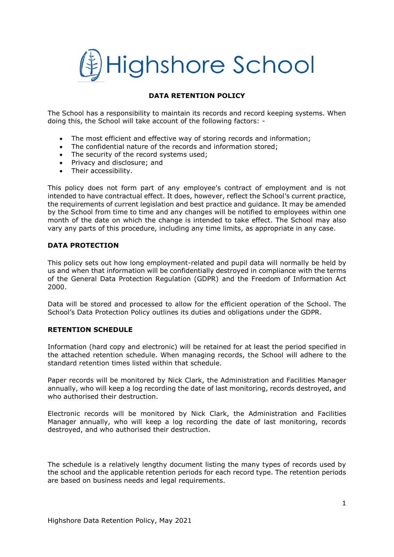

### **DATA RETENTION POLICY**

The School has a responsibility to maintain its records and record keeping systems. When doing this, the School will take account of the following factors: -

- The most efficient and effective way of storing records and information;
- The confidential nature of the records and information stored;
- The security of the record systems used;
- Privacy and disclosure; and
- Their accessibility.

This policy does not form part of any employee's contract of employment and is not intended to have contractual effect. It does, however, reflect the School's current practice, the requirements of current legislation and best practice and guidance. It may be amended by the School from time to time and any changes will be notified to employees within one month of the date on which the change is intended to take effect. The School may also vary any parts of this procedure, including any time limits, as appropriate in any case.

#### **DATA PROTECTION**

This policy sets out how long employment-related and pupil data will normally be held by us and when that information will be confidentially destroyed in compliance with the terms of the General Data Protection Regulation (GDPR) and the Freedom of Information Act 2000.

Data will be stored and processed to allow for the efficient operation of the School. The School's Data Protection Policy outlines its duties and obligations under the GDPR.

#### **RETENTION SCHEDULE**

Information (hard copy and electronic) will be retained for at least the period specified in the attached retention schedule. When managing records, the School will adhere to the standard retention times listed within that schedule.

Paper records will be monitored by Nick Clark, the Administration and Facilities Manager annually, who will keep a log recording the date of last monitoring, records destroyed, and who authorised their destruction.

Electronic records will be monitored by Nick Clark, the Administration and Facilities Manager annually, who will keep a log recording the date of last monitoring, records destroyed, and who authorised their destruction.

The schedule is a relatively lengthy document listing the many types of records used by the school and the applicable retention periods for each record type. The retention periods are based on business needs and legal requirements.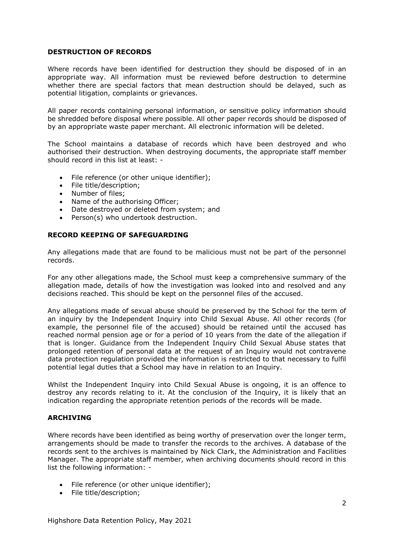#### **DESTRUCTION OF RECORDS**

Where records have been identified for destruction they should be disposed of in an appropriate way. All information must be reviewed before destruction to determine whether there are special factors that mean destruction should be delayed, such as potential litigation, complaints or grievances.

All paper records containing personal information, or sensitive policy information should be shredded before disposal where possible. All other paper records should be disposed of by an appropriate waste paper merchant. All electronic information will be deleted.

The School maintains a database of records which have been destroyed and who authorised their destruction. When destroying documents, the appropriate staff member should record in this list at least: -

- File reference (or other unique identifier);
- File title/description;
- Number of files;
- Name of the authorising Officer;
- Date destroyed or deleted from system; and
- Person(s) who undertook destruction.

#### **RECORD KEEPING OF SAFEGUARDING**

Any allegations made that are found to be malicious must not be part of the personnel records.

For any other allegations made, the School must keep a comprehensive summary of the allegation made, details of how the investigation was looked into and resolved and any decisions reached. This should be kept on the personnel files of the accused.

Any allegations made of sexual abuse should be preserved by the School for the term of an inquiry by the Independent Inquiry into Child Sexual Abuse. All other records (for example, the personnel file of the accused) should be retained until the accused has reached normal pension age or for a period of 10 years from the date of the allegation if that is longer. Guidance from the Independent Inquiry Child Sexual Abuse states that prolonged retention of personal data at the request of an Inquiry would not contravene data protection regulation provided the information is restricted to that necessary to fulfil potential legal duties that a School may have in relation to an Inquiry.

Whilst the Independent Inquiry into Child Sexual Abuse is ongoing, it is an offence to destroy any records relating to it. At the conclusion of the Inquiry, it is likely that an indication regarding the appropriate retention periods of the records will be made.

#### **ARCHIVING**

Where records have been identified as being worthy of preservation over the longer term, arrangements should be made to transfer the records to the archives. A database of the records sent to the archives is maintained by Nick Clark, the Administration and Facilities Manager. The appropriate staff member, when archiving documents should record in this list the following information: -

- File reference (or other unique identifier);
- File title/description;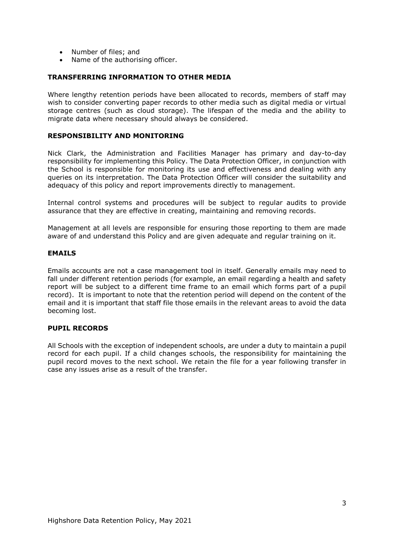- Number of files; and
- Name of the authorising officer.

### **TRANSFERRING INFORMATION TO OTHER MEDIA**

Where lengthy retention periods have been allocated to records, members of staff may wish to consider converting paper records to other media such as digital media or virtual storage centres (such as cloud storage). The lifespan of the media and the ability to migrate data where necessary should always be considered.

#### **RESPONSIBILITY AND MONITORING**

Nick Clark, the Administration and Facilities Manager has primary and day-to-day responsibility for implementing this Policy. The Data Protection Officer, in conjunction with the School is responsible for monitoring its use and effectiveness and dealing with any queries on its interpretation. The Data Protection Officer will consider the suitability and adequacy of this policy and report improvements directly to management.

Internal control systems and procedures will be subject to regular audits to provide assurance that they are effective in creating, maintaining and removing records.

Management at all levels are responsible for ensuring those reporting to them are made aware of and understand this Policy and are given adequate and regular training on it.

#### **EMAILS**

Emails accounts are not a case management tool in itself. Generally emails may need to fall under different retention periods (for example, an email regarding a health and safety report will be subject to a different time frame to an email which forms part of a pupil record). It is important to note that the retention period will depend on the content of the email and it is important that staff file those emails in the relevant areas to avoid the data becoming lost.

#### **PUPIL RECORDS**

All Schools with the exception of independent schools, are under a duty to maintain a pupil record for each pupil. If a child changes schools, the responsibility for maintaining the pupil record moves to the next school. We retain the file for a year following transfer in case any issues arise as a result of the transfer.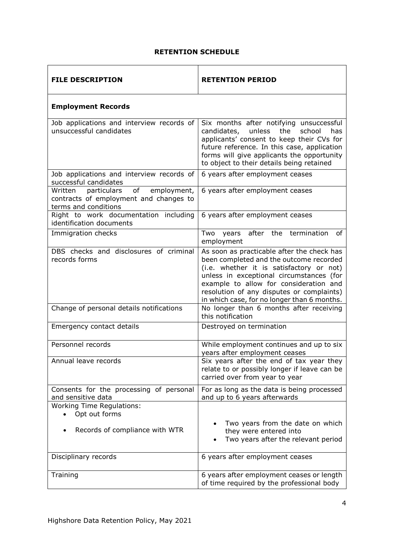## **RETENTION SCHEDULE**

| <b>FILE DESCRIPTION</b>                                                                                       | <b>RETENTION PERIOD</b>                                                                                                                                                                                                                                                                                             |
|---------------------------------------------------------------------------------------------------------------|---------------------------------------------------------------------------------------------------------------------------------------------------------------------------------------------------------------------------------------------------------------------------------------------------------------------|
| <b>Employment Records</b>                                                                                     |                                                                                                                                                                                                                                                                                                                     |
| Job applications and interview records of<br>unsuccessful candidates                                          | Six months after notifying unsuccessful<br>unless<br>the<br>school<br>candidates,<br>has<br>applicants' consent to keep their CVs for<br>future reference. In this case, application<br>forms will give applicants the opportunity<br>to object to their details being retained                                     |
| Job applications and interview records of<br>successful candidates                                            | 6 years after employment ceases                                                                                                                                                                                                                                                                                     |
| Written<br>particulars<br>of<br>employment,<br>contracts of employment and changes to<br>terms and conditions | 6 years after employment ceases                                                                                                                                                                                                                                                                                     |
| Right to work documentation including<br>identification documents                                             | 6 years after employment ceases                                                                                                                                                                                                                                                                                     |
| Immigration checks                                                                                            | years after the termination<br>Two<br>of<br>employment                                                                                                                                                                                                                                                              |
| DBS checks and disclosures of criminal<br>records forms                                                       | As soon as practicable after the check has<br>been completed and the outcome recorded<br>(i.e. whether it is satisfactory or not)<br>unless in exceptional circumstances (for<br>example to allow for consideration and<br>resolution of any disputes or complaints)<br>in which case, for no longer than 6 months. |
| Change of personal details notifications                                                                      | No longer than 6 months after receiving<br>this notification                                                                                                                                                                                                                                                        |
| Emergency contact details                                                                                     | Destroyed on termination                                                                                                                                                                                                                                                                                            |
| Personnel records                                                                                             | While employment continues and up to six<br>years after employment ceases                                                                                                                                                                                                                                           |
| Annual leave records                                                                                          | Six years after the end of tax year they<br>relate to or possibly longer if leave can be<br>carried over from year to year                                                                                                                                                                                          |
| Consents for the processing of personal<br>and sensitive data                                                 | For as long as the data is being processed<br>and up to 6 years afterwards                                                                                                                                                                                                                                          |
| <b>Working Time Regulations:</b><br>Opt out forms<br>$\bullet$                                                |                                                                                                                                                                                                                                                                                                                     |
| Records of compliance with WTR                                                                                | Two years from the date on which<br>they were entered into<br>Two years after the relevant period                                                                                                                                                                                                                   |
| Disciplinary records                                                                                          | 6 years after employment ceases                                                                                                                                                                                                                                                                                     |
| Training                                                                                                      | 6 years after employment ceases or length<br>of time required by the professional body                                                                                                                                                                                                                              |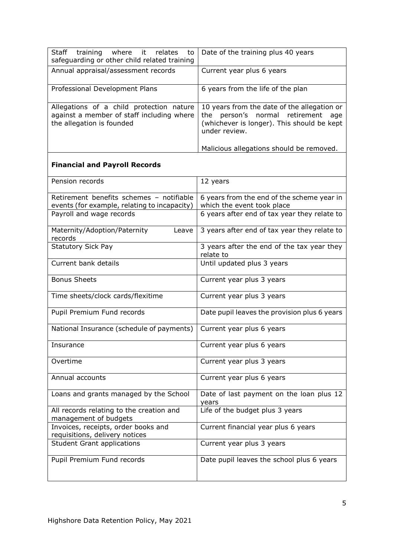| Staff training where it<br>relates<br>to<br>safeguarding or other child related training                           | Date of the training plus 40 years                                                                                                                     |
|--------------------------------------------------------------------------------------------------------------------|--------------------------------------------------------------------------------------------------------------------------------------------------------|
| Annual appraisal/assessment records                                                                                | Current year plus 6 years                                                                                                                              |
| Professional Development Plans                                                                                     | 6 years from the life of the plan                                                                                                                      |
| Allegations of a child protection nature<br>against a member of staff including where<br>the allegation is founded | 10 years from the date of the allegation or<br>person's normal<br>the<br>retirement age<br>(whichever is longer). This should be kept<br>under review. |
|                                                                                                                    | Malicious allegations should be removed.                                                                                                               |
| <b>Financial and Payroll Records</b>                                                                               |                                                                                                                                                        |
| Pension records                                                                                                    | 12 years                                                                                                                                               |
| Retirement benefits schemes - notifiable<br>events (for example, relating to incapacity)                           | 6 years from the end of the scheme year in<br>which the event took place                                                                               |
| Payroll and wage records                                                                                           | 6 years after end of tax year they relate to                                                                                                           |
| Maternity/Adoption/Paternity<br>Leave<br>records                                                                   | 3 years after end of tax year they relate to                                                                                                           |
| <b>Statutory Sick Pay</b>                                                                                          | 3 years after the end of the tax year they<br>relate to                                                                                                |
| Current bank details                                                                                               | Until updated plus 3 years                                                                                                                             |
| <b>Bonus Sheets</b>                                                                                                | Current year plus 3 years                                                                                                                              |
| Time sheets/clock cards/flexitime                                                                                  | Current year plus 3 years                                                                                                                              |
| Pupil Premium Fund records                                                                                         | Date pupil leaves the provision plus 6 years                                                                                                           |
| National Insurance (schedule of payments)                                                                          | Current year plus 6 years                                                                                                                              |
| Insurance                                                                                                          | Current year plus 6 years                                                                                                                              |
| Overtime                                                                                                           | Current year plus 3 years                                                                                                                              |
| Annual accounts                                                                                                    | Current year plus 6 years                                                                                                                              |
| Loans and grants managed by the School                                                                             | Date of last payment on the loan plus 12<br>years                                                                                                      |
| All records relating to the creation and<br>management of budgets                                                  | Life of the budget plus 3 years                                                                                                                        |
| Invoices, receipts, order books and<br>requisitions, delivery notices                                              | Current financial year plus 6 years                                                                                                                    |
| <b>Student Grant applications</b>                                                                                  | Current year plus 3 years                                                                                                                              |
| Pupil Premium Fund records                                                                                         | Date pupil leaves the school plus 6 years                                                                                                              |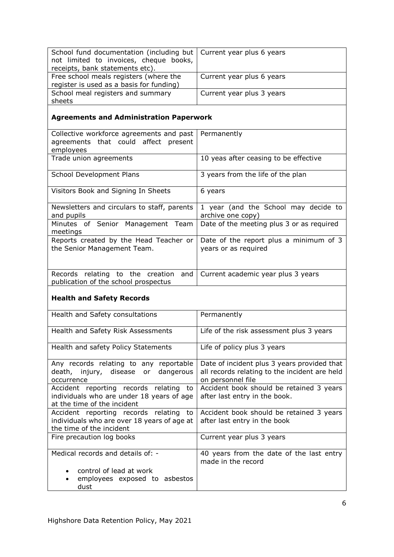| School fund documentation (including but   Current year plus 6 years |                           |
|----------------------------------------------------------------------|---------------------------|
| not limited to invoices, cheque books,                               |                           |
| receipts, bank statements etc).                                      |                           |
| Free school meals registers (where the                               | Current year plus 6 years |
| register is used as a basis for funding)                             |                           |
| School meal registers and summary                                    | Current year plus 3 years |
| sheets                                                               |                           |

# **Agreements and Administration Paperwork**

| Collective workforce agreements and past<br>agreements that could affect present<br>employees | Permanently                                                    |
|-----------------------------------------------------------------------------------------------|----------------------------------------------------------------|
| Trade union agreements                                                                        | 10 yeas after ceasing to be effective                          |
| School Development Plans                                                                      | 3 years from the life of the plan                              |
| Visitors Book and Signing In Sheets                                                           | 6 years                                                        |
| Newsletters and circulars to staff, parents<br>and pupils                                     | 1 year (and the School may decide to<br>archive one copy)      |
| Minutes of Senior Management Team<br>meetings                                                 | Date of the meeting plus 3 or as required                      |
| Reports created by the Head Teacher or<br>the Senior Management Team.                         | Date of the report plus a minimum of 3<br>years or as required |
| Records relating to the creation<br>and<br>publication of the school prospectus               | Current academic year plus 3 years                             |

## **Health and Safety Records**

| Health and Safety consultations                                                                                      | Permanently                                                                                                       |
|----------------------------------------------------------------------------------------------------------------------|-------------------------------------------------------------------------------------------------------------------|
| Health and Safety Risk Assessments                                                                                   | Life of the risk assessment plus 3 years                                                                          |
| Health and safety Policy Statements                                                                                  | Life of policy plus 3 years                                                                                       |
| Any records relating to any reportable<br>death, injury, disease or<br>dangerous<br>occurrence                       | Date of incident plus 3 years provided that<br>all records relating to the incident are held<br>on personnel file |
| Accident reporting records relating to<br>individuals who are under 18 years of age<br>at the time of the incident   | Accident book should be retained 3 years<br>after last entry in the book.                                         |
| Accident reporting records relating<br>to<br>individuals who are over 18 years of age at<br>the time of the incident | Accident book should be retained 3 years<br>after last entry in the book                                          |
| Fire precaution log books                                                                                            | Current year plus 3 years                                                                                         |
| Medical records and details of: -                                                                                    | 40 years from the date of the last entry<br>made in the record                                                    |
| • control of lead at work<br>employees exposed to asbestos<br>dust                                                   |                                                                                                                   |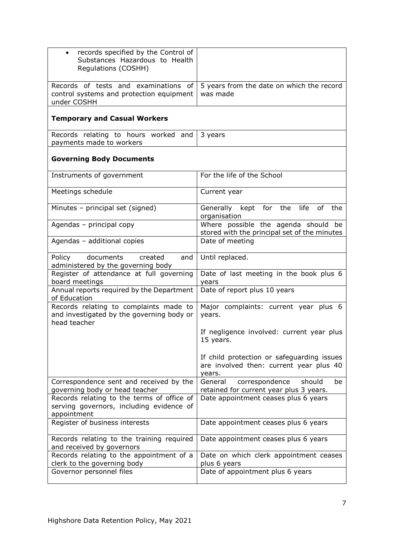| records specified by the Control of<br>$\bullet$<br>Substances Hazardous to Health<br>Regulations (COSHH) |                                                                                                 |
|-----------------------------------------------------------------------------------------------------------|-------------------------------------------------------------------------------------------------|
| Records of tests and examinations of<br>control systems and protection equipment<br>under COSHH           | 5 years from the date on which the record<br>was made                                           |
| <b>Temporary and Casual Workers</b>                                                                       |                                                                                                 |
| Records relating to hours worked and<br>payments made to workers                                          | 3 years                                                                                         |
| <b>Governing Body Documents</b>                                                                           |                                                                                                 |
| Instruments of government                                                                                 | For the life of the School                                                                      |
| Meetings schedule                                                                                         | Current year                                                                                    |
| Minutes - principal set (signed)                                                                          | for the life<br>of<br>the<br>Generally kept<br>organisation                                     |
| Agendas - principal copy                                                                                  | Where possible the agenda should be<br>stored with the principal set of the minutes             |
| Agendas - additional copies                                                                               | Date of meeting                                                                                 |
| Policy<br>documents<br>created<br>and<br>administered by the governing body                               | Until replaced.                                                                                 |
| Register of attendance at full governing<br>board meetings                                                | Date of last meeting in the book plus 6<br>years                                                |
| Annual reports required by the Department<br>of Education                                                 | Date of report plus 10 years                                                                    |
| Records relating to complaints made to<br>and investigated by the governing body or<br>head teacher       | Major complaints: current year plus 6<br>years.                                                 |
|                                                                                                           | If negligence involved: current year plus<br>15 years.                                          |
|                                                                                                           | If child protection or safeguarding issues<br>are involved then: current year plus 40<br>years. |
| Correspondence sent and received by the<br>governing body or head teacher                                 | correspondence<br>should<br>General<br>be<br>retained for current year plus 3 years.            |
| Records relating to the terms of office of<br>serving governors, including evidence of<br>appointment     | Date appointment ceases plus 6 years                                                            |
| Register of business interests                                                                            | Date appointment ceases plus 6 years                                                            |
| Records relating to the training required<br>and received by governors                                    | Date appointment ceases plus 6 years                                                            |
| Records relating to the appointment of a<br>clerk to the governing body                                   | Date on which clerk appointment ceases<br>plus 6 years                                          |
| Governor personnel files                                                                                  | Date of appointment plus 6 years                                                                |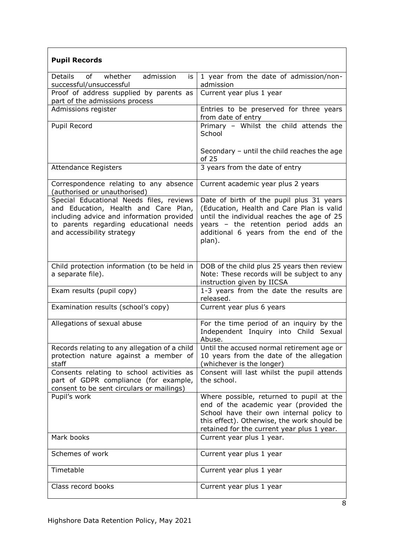| <b>Pupil Records</b>                                                                                                                                                                                  |                                                                                                                                                                                                                                 |
|-------------------------------------------------------------------------------------------------------------------------------------------------------------------------------------------------------|---------------------------------------------------------------------------------------------------------------------------------------------------------------------------------------------------------------------------------|
| Details<br>of<br>whether<br>admission<br>is<br>successful/unsuccessful                                                                                                                                | 1 year from the date of admission/non-<br>admission                                                                                                                                                                             |
| Proof of address supplied by parents as<br>part of the admissions process                                                                                                                             | Current year plus 1 year                                                                                                                                                                                                        |
| Admissions register                                                                                                                                                                                   | Entries to be preserved for three years<br>from date of entry                                                                                                                                                                   |
| Pupil Record                                                                                                                                                                                          | Primary - Whilst the child attends the<br>School                                                                                                                                                                                |
|                                                                                                                                                                                                       | Secondary $-$ until the child reaches the age<br>of 25                                                                                                                                                                          |
| <b>Attendance Registers</b>                                                                                                                                                                           | 3 years from the date of entry                                                                                                                                                                                                  |
| Correspondence relating to any absence<br>(authorised or unauthorised)                                                                                                                                | Current academic year plus 2 years                                                                                                                                                                                              |
| Special Educational Needs files, reviews<br>and Education, Health and Care Plan,<br>including advice and information provided<br>to parents regarding educational needs<br>and accessibility strategy | Date of birth of the pupil plus 31 years<br>(Education, Health and Care Plan is valid<br>until the individual reaches the age of 25<br>years - the retention period adds an<br>additional 6 years from the end of the<br>plan). |
| Child protection information (to be held in<br>a separate file).                                                                                                                                      | DOB of the child plus 25 years then review<br>Note: These records will be subject to any<br>instruction given by IICSA                                                                                                          |
| Exam results (pupil copy)                                                                                                                                                                             | 1-3 years from the date the results are<br>released.                                                                                                                                                                            |
| Examination results (school's copy)                                                                                                                                                                   | Current year plus 6 years                                                                                                                                                                                                       |
| Allegations of sexual abuse                                                                                                                                                                           | For the time period of an inquiry by the<br>Independent Inquiry into Child Sexual<br>Abuse.                                                                                                                                     |
| Records relating to any allegation of a child<br>protection nature against a member of<br>staff                                                                                                       | Until the accused normal retirement age or<br>10 years from the date of the allegation<br>(whichever is the longer)                                                                                                             |
| Consents relating to school activities as<br>part of GDPR compliance (for example,<br>consent to be sent circulars or mailings)                                                                       | Consent will last whilst the pupil attends<br>the school.                                                                                                                                                                       |
| Pupil's work                                                                                                                                                                                          | Where possible, returned to pupil at the<br>end of the academic year (provided the<br>School have their own internal policy to<br>this effect). Otherwise, the work should be<br>retained for the current year plus 1 year.     |
| Mark books                                                                                                                                                                                            | Current year plus 1 year.                                                                                                                                                                                                       |
| Schemes of work                                                                                                                                                                                       | Current year plus 1 year                                                                                                                                                                                                        |
| Timetable                                                                                                                                                                                             | Current year plus 1 year                                                                                                                                                                                                        |
| Class record books                                                                                                                                                                                    | Current year plus 1 year                                                                                                                                                                                                        |